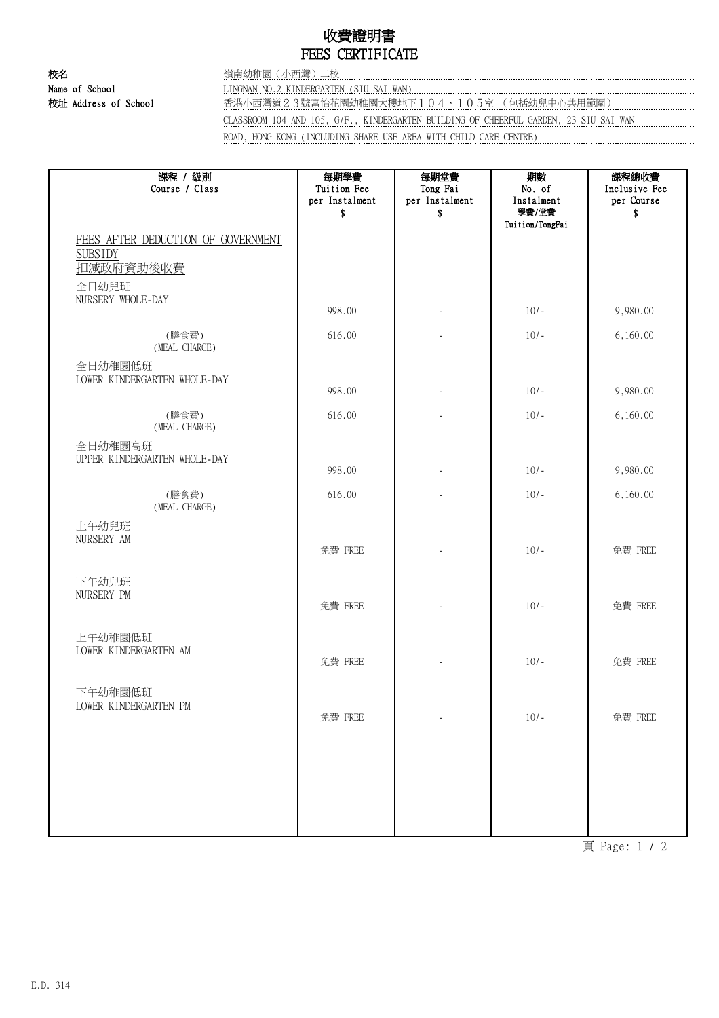## 收費證明書 FEES CERTIFICATE

校名 嶺南幼稚園(小西灣)二校

Name of School LINGNAN NO.2 KINDERGARTEN (SIU SAI WAN)

校址 Address of School 香港小西灣道2.3號富怡花園幼稚園大樓地下104、105室 (包括幼兒中心共用範圍) ………………………………

CLASSROOM 104 AND 105, G/F., KINDERGARTEN BUILDING OF CHEERFUL GARDEN, 23 SIU SAI WAN

ROAD, HONG KONG (INCLUDING SHARE USE AREA WITH CHILD CARE CENTRE)

| 課程 / 級別<br>Course / Class                                         | 每期學費<br>Tuition Fee  | 每期堂費<br>Tong Fai     | 期數<br>No. of        | 課程總收費<br>Inclusive Fee |
|-------------------------------------------------------------------|----------------------|----------------------|---------------------|------------------------|
|                                                                   | per Instalment<br>\$ | per Instalment<br>\$ | Instalment<br>學費/堂費 | per Course<br>S        |
| FEES AFTER DEDUCTION OF GOVERNMENT<br><b>SUBSIDY</b><br>扣减政府資助後收費 |                      |                      | Tuition/TongFai     |                        |
| 全日幼兒班<br>NURSERY WHOLE-DAY                                        | 998.00               |                      | $10/-$              | 9,980.00               |
| (膳食費)<br>(MEAL CHARGE)                                            | 616.00               |                      | $10/-$              | 6,160.00               |
| 全日幼稚園低班<br>LOWER KINDERGARTEN WHOLE-DAY                           |                      |                      |                     |                        |
|                                                                   | 998.00               |                      | $10/-$              | 9,980.00               |
| (膳食費)<br>(MEAL CHARGE)                                            | 616.00               |                      | $10/-$              | 6,160.00               |
| 全日幼稚園高班<br>UPPER KINDERGARTEN WHOLE-DAY                           |                      |                      |                     |                        |
|                                                                   | 998.00               |                      | $10/-$              | 9,980.00               |
| (膳食費)<br>(MEAL CHARGE)                                            | 616.00               |                      | $10/-$              | 6,160.00               |
| 上午幼兒班<br>NURSERY AM                                               | 免費 FREE              |                      | $10/-$              | 免費 FREE                |
| 下午幼兒班<br>NURSERY PM                                               | 免費 FREE              |                      | $10/-$              | 免費 FREE                |
| 上午幼稚園低班<br>LOWER KINDERGARTEN AM                                  | 免費 FREE              |                      | $10/-$              | 免費 FREE                |
| 下午幼稚園低班<br>LOWER KINDERGARTEN PM                                  | 免費 FREE              |                      | $10/-$              | 免費 FREE                |
|                                                                   |                      |                      |                     |                        |
|                                                                   |                      |                      |                     |                        |

頁 Page: 1 / 2